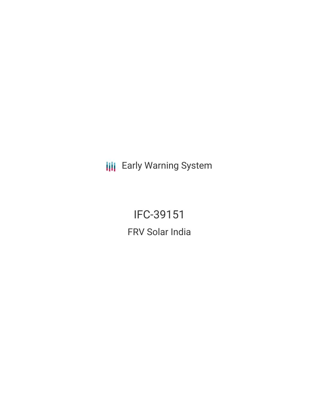**III** Early Warning System

IFC-39151 FRV Solar India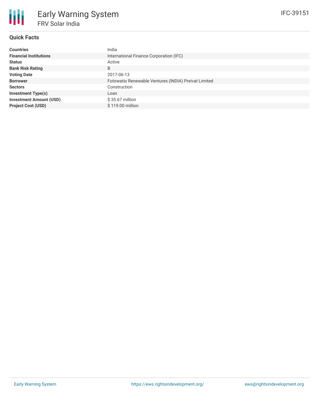# **Quick Facts**

冊

| <b>Countries</b>               | India                                                |
|--------------------------------|------------------------------------------------------|
| <b>Financial Institutions</b>  | International Finance Corporation (IFC)              |
| <b>Status</b>                  | Active                                               |
| <b>Bank Risk Rating</b>        | B                                                    |
| <b>Voting Date</b>             | 2017-06-13                                           |
| <b>Borrower</b>                | Fotowatio Renewable Ventures (INDIA) Preivat Limited |
| <b>Sectors</b>                 | Construction                                         |
| <b>Investment Type(s)</b>      | Loan                                                 |
| <b>Investment Amount (USD)</b> | $$35.67$ million                                     |
| <b>Project Cost (USD)</b>      | \$119.00 million                                     |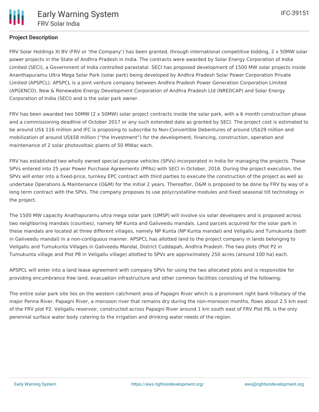## **Project Description**

FRV Solar Holdings XI BV (FRV or 'the Company') has been granted, through international competitive bidding, 2 x 50MW solar power projects in the State of Andhra Pradesh in India. The contracts were awarded by Solar Energy Corporation of India Limited (SECI), a Government of India controlled parastatal. SECI has proposed development of 1500 MW solar projects inside Ananthapuramu Ultra Mega Solar Park (solar park) being developed by Andhra Pradesh Solar Power Corporation Private Limited (APSPCL). APSPCL is a joint venture company between Andhra Pradesh Power Generation Corporation Limited (APGENCO), New & Renewable Energy Development Corporation of Andhra Pradesh Ltd (NREDCAP) and Solar Energy Corporation of India (SECI) and is the solar park owner.

FRV has been awarded two 50MW (2 x 50MW) solar project contracts inside the solar park, with a 6 month construction phase and a commissioning deadline of October 2017 or any such extended date as granted by SECI. The project cost is estimated to be around US\$ 116 million and IFC is proposing to subscribe to Non-Convertible Debentures of around US\$29 million and mobilization of around US\$58 million ("the Investment") for the development, financing, construction, operation and maintenance of 2 solar photovoltaic plants of 50 MWac each.

FRV has established two wholly owned special purpose vehicles (SPVs) incorporated in India for managing the projects. These SPVs entered into 25 year Power Purchase Agreements (PPAs) with SECI in October, 2016. During the project execution, the SPVs will enter into a fixed-price, turnkey EPC contract with third parties to execute the construction of the project as well as undertake Operations & Maintenance (O&M) for the initial 2 years. Thereafter, O&M is proposed to be done by FRV by way of a long term contract with the SPVs. The company proposes to use polycrystalline modules and fixed seasonal tilt technology in the project.

The 1500 MW capacity Anathapuramu ultra mega solar park (UMSP) will involve six solar developers and is proposed across two neighboring mandals (counties), namely NP Kunta and Galiveedu mandals. Land parcels acquired for the solar park in these mandals are located at three different villages, namely NP Kunta (NP Kunta mandal) and Veligallu and Tumukunta (both in Galiveedu mandal) in a non-contiguous manner. APSPCL has allotted land to the project company in lands belonging to Veligallu and Tumukunta Villages in Galiveedu Mandal, District Cuddapah, Andhra Pradesh. The two plots (Plot P2 in Tumukunta village and Plot P8 in Veligallu village) allotted to SPVs are approximately 250 acres (around 100 ha) each.

APSPCL will enter into a land lease agreement with company SPVs for using the two allocated plots and is responsible for providing encumbrance free land, evacuation infrastructure and other common facilities consisting of the following:

The entire solar park site lies on the western catchment area of Papagni River which is a prominent right bank tributary of the major Penna River. Papagni River, a monsoon river that remains dry during the non-monsoon months, flows about 2.5 km east of the FRV plot P2. Veligallu reservoir, constructed across Papagni River around 1 km south east of FRV Plot P8, is the only perennial surface water body catering to the irrigation and drinking water needs of the region.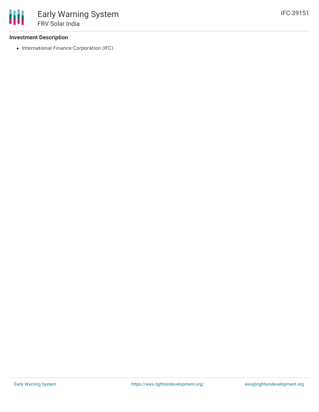### **Investment Description**

• International Finance Corporation (IFC)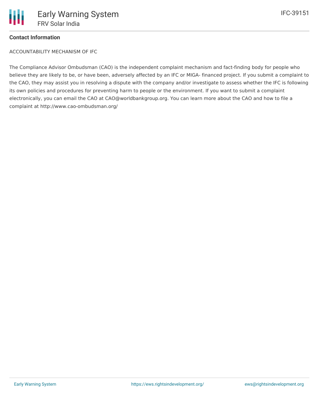

#### **Contact Information**

ACCOUNTABILITY MECHANISM OF IFC

The Compliance Advisor Ombudsman (CAO) is the independent complaint mechanism and fact-finding body for people who believe they are likely to be, or have been, adversely affected by an IFC or MIGA- financed project. If you submit a complaint to the CAO, they may assist you in resolving a dispute with the company and/or investigate to assess whether the IFC is following its own policies and procedures for preventing harm to people or the environment. If you want to submit a complaint electronically, you can email the CAO at CAO@worldbankgroup.org. You can learn more about the CAO and how to file a complaint at http://www.cao-ombudsman.org/